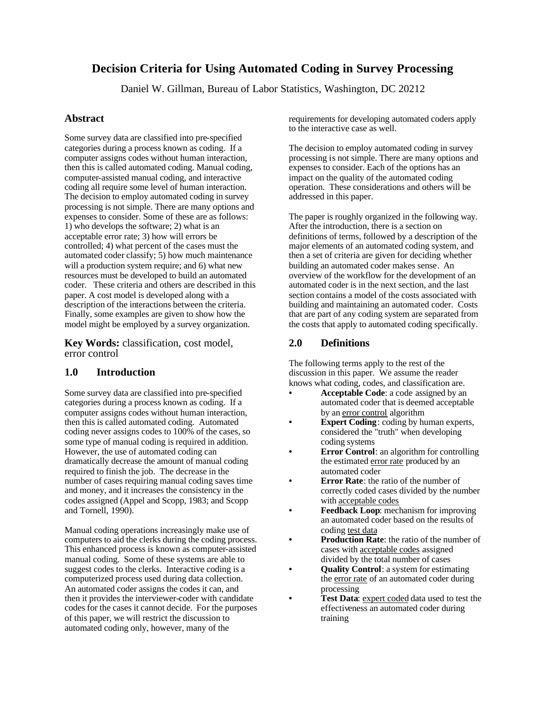# **Decision Criteria for Using Automated Coding in Survey Processing**

Daniel W. Gillman, Bureau of Labor Statistics, Washington, DC 20212

# **Abstract**

Some survey data are classified into pre-specified categories during a process known as coding. If a computer assigns codes without human interaction, then this is called automated coding. Manual coding, computer-assisted manual coding, and interactive coding all require some level of human interaction. The decision to employ automated coding in survey processing is not simple. There are many options and expenses to consider. Some of these are as follows: 1) who develops the software; 2) what is an acceptable error rate; 3) how will errors be controlled; 4) what percent of the cases must the automated coder classify; 5) how much maintenance will a production system require; and 6) what new resources must be developed to build an automated coder. These criteria and others are described in this paper. A cost model is developed along with a description of the interactions between the criteria. Finally, some examples are given to show how the model might be employed by a survey organization.

**Key Words:** classification, cost model, error control

# **1.0 Introduction**

Some survey data are classified into pre-specified categories during a process known as coding. If a computer assigns codes without human interaction, then this is called automated coding. Automated coding never assigns codes to 100% of the cases, so some type of manual coding is required in addition. However, the use of automated coding can dramatically decrease the amount of manual coding required to finish the job. The decrease in the number of cases requiring manual coding saves time and money, and it increases the consistency in the codes assigned (Appel and Scopp, 1983; and Scopp and Tornell, 1990).

Manual coding operations increasingly make use of computers to aid the clerks during the coding process. This enhanced process is known as computer-assisted manual coding. Some of these systems are able to suggest codes to the clerks. Interactive coding is a computerized process used during data collection. An automated coder assigns the codes it can, and then it provides the interviewer-coder with candidate codes for the cases it cannot decide. For the purposes of this paper, we will restrict the discussion to automated coding only, however, many of the

requirements for developing automated coders apply to the interactive case as well.

The decision to employ automated coding in survey processing is not simple. There are many options and expenses to consider. Each of the options has an impact on the quality of the automated coding operation. These considerations and others will be addressed in this paper.

The paper is roughly organized in the following way. After the introduction, there is a section on definitions of terms, followed by a description of the major elements of an automated coding system, and then a set of criteria are given for deciding whether building an automated coder makes sense. An overview of the workflow for the development of an automated coder is in the next section, and the last section contains a model of the costs associated with building and maintaining an automated coder. Costs that are part of any coding system are separated from the costs that apply to automated coding specifically.

# **2.0 Definitions**

The following terms apply to the rest of the discussion in this paper. We assume the reader knows what coding, codes, and classification are.

- **• Acceptable Code**: a code assigned by an automated coder that is deemed acceptable by an error control algorithm
- **Expert Coding**: coding by human experts, considered the "truth" when developing coding systems
- **Error Control**: an algorithm for controlling the estimated error rate produced by an automated coder
- **• Error Rate**: the ratio of the number of correctly coded cases divided by the number with acceptable codes
- **• Feedback Loop**: mechanism for improving an automated coder based on the results of coding test data
- **• Production Rate**: the ratio of the number of cases with acceptable codes assigned divided by the total number of cases
- **• Quality Control**: a system for estimating the error rate of an automated coder during processing
- Test Data: expert coded data used to test the effectiveness an automated coder during training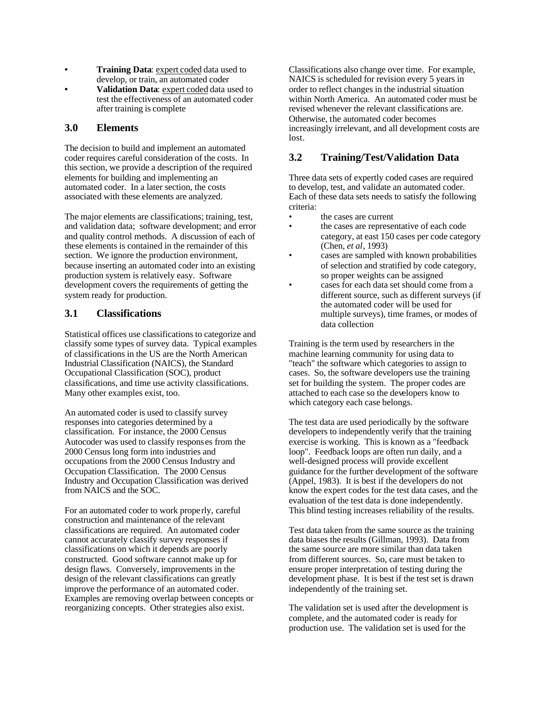- **• Training Data**: expert coded data used to develop, or train, an automated coder
- **• Validation Data**: expert coded data used to test the effectiveness of an automated coder after training is complete

#### **3.0 Elements**

The decision to build and implement an automated coder requires careful consideration of the costs. In this section, we provide a description of the required elements for building and implementing an automated coder. In a later section, the costs associated with these elements are analyzed.

The major elements are classifications; training, test, and validation data; software development; and error and quality control methods. A discussion of each of these elements is contained in the remainder of this section. We ignore the production environment, because inserting an automated coder into an existing production system is relatively easy. Software development covers the requirements of getting the system ready for production.

# **3.1 Classifications**

Statistical offices use classifications to categorize and classify some types of survey data. Typical examples of classifications in the US are the North American Industrial Classification (NAICS), the Standard Occupational Classification (SOC), product classifications, and time use activity classifications. Many other examples exist, too.

An automated coder is used to classify survey responses into categories determined by a classification. For instance, the 2000 Census Autocoder was used to classify responses from the 2000 Census long form into industries and occupations from the 2000 Census Industry and Occupation Classification. The 2000 Census Industry and Occupation Classification was derived from NAICS and the SOC.

For an automated coder to work properly, careful construction and maintenance of the relevant classifications are required. An automated coder cannot accurately classify survey responses if classifications on which it depends are poorly constructed. Good software cannot make up for design flaws. Conversely, improvements in the design of the relevant classifications can greatly improve the performance of an automated coder. Examples are removing overlap between concepts or reorganizing concepts. Other strategies also exist.

Classifications also change over time. For example, NAICS is scheduled for revision every 5 years in order to reflect changes in the industrial situation within North America. An automated coder must be revised whenever the relevant classifications are. Otherwise, the automated coder becomes increasingly irrelevant, and all development costs are lost.

# **3.2 Training/Test/Validation Data**

Three data sets of expertly coded cases are required to develop, test, and validate an automated coder. Each of these data sets needs to satisfy the following criteria:

- the cases are current
- the cases are representative of each code category, at east 150 cases per code category (Chen, *et al*, 1993)
- cases are sampled with known probabilities of selection and stratified by code category, so proper weights can be assigned
- cases for each data set should come from a different source, such as different surveys (if the automated coder will be used for multiple surveys), time frames, or modes of data collection

Training is the term used by researchers in the machine learning community for using data to "teach" the software which categories to assign to cases. So, the software developers use the training set for building the system. The proper codes are attached to each case so the developers know to which category each case belongs.

The test data are used periodically by the software developers to independently verify that the training exercise is working. This is known as a "feedback loop". Feedback loops are often run daily, and a well-designed process will provide excellent guidance for the further development of the software (Appel, 1983). It is best if the developers do not know the expert codes for the test data cases, and the evaluation of the test data is done independently. This blind testing increases reliability of the results.

Test data taken from the same source as the training data biases the results (Gillman, 1993). Data from the same source are more similar than data taken from different sources. So, care must be taken to ensure proper interpretation of testing during the development phase. It is best if the test set is drawn independently of the training set.

The validation set is used after the development is complete, and the automated coder is ready for production use. The validation set is used for the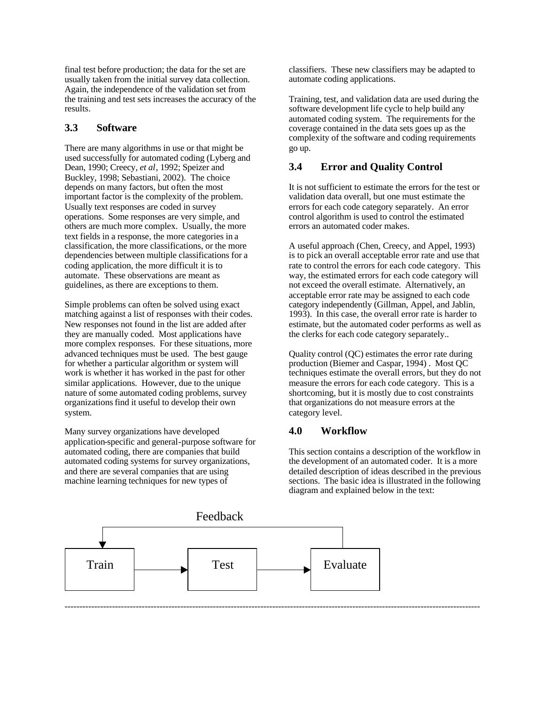final test before production; the data for the set are usually taken from the initial survey data collection. Again, the independence of the validation set from the training and test sets increases the accuracy of the results.

#### **3.3 Software**

There are many algorithms in use or that might be used successfully for automated coding (Lyberg and Dean, 1990; Creecy, *et al*, 1992; Speizer and Buckley, 1998; Sebastiani, 2002). The choice depends on many factors, but often the most important factor is the complexity of the problem. Usually text responses are coded in survey operations. Some responses are very simple, and others are much more complex. Usually, the more text fields in a response, the more categories in a classification, the more classifications, or the more dependencies between multiple classifications for a coding application, the more difficult it is to automate. These observations are meant as guidelines, as there are exceptions to them.

Simple problems can often be solved using exact matching against a list of responses with their codes. New responses not found in the list are added after they are manually coded. Most applications have more complex responses. For these situations, more advanced techniques must be used. The best gauge for whether a particular algorithm or system will work is whether it has worked in the past for other similar applications. However, due to the unique nature of some automated coding problems, survey organizations find it useful to develop their own system.

Many survey organizations have developed application-specific and general-purpose software for automated coding, there are companies that build automated coding systems for survey organizations, and there are several companies that are using machine learning techniques for new types of

classifiers. These new classifiers may be adapted to automate coding applications.

Training, test, and validation data are used during the software development life cycle to help build any automated coding system. The requirements for the coverage contained in the data sets goes up as the complexity of the software and coding requirements go up.

# **3.4 Error and Quality Control**

It is not sufficient to estimate the errors for the test or validation data overall, but one must estimate the errors for each code category separately. An error control algorithm is used to control the estimated errors an automated coder makes.

A useful approach (Chen, Creecy, and Appel, 1993) is to pick an overall acceptable error rate and use that rate to control the errors for each code category. This way, the estimated errors for each code category will not exceed the overall estimate. Alternatively, an acceptable error rate may be assigned to each code category independently (Gillman, Appel, and Jablin, 1993). In this case, the overall error rate is harder to estimate, but the automated coder performs as well as the clerks for each code category separately..

Quality control (QC) estimates the error rate during production (Biemer and Caspar, 1994) . Most QC techniques estimate the overall errors, but they do not measure the errors for each code category. This is a shortcoming, but it is mostly due to cost constraints that organizations do not measure errors at the category level.

# **4.0 Workflow**

This section contains a description of the workflow in the development of an automated coder. It is a more detailed description of ideas described in the previous sections. The basic idea is illustrated in the following diagram and explained below in the text:

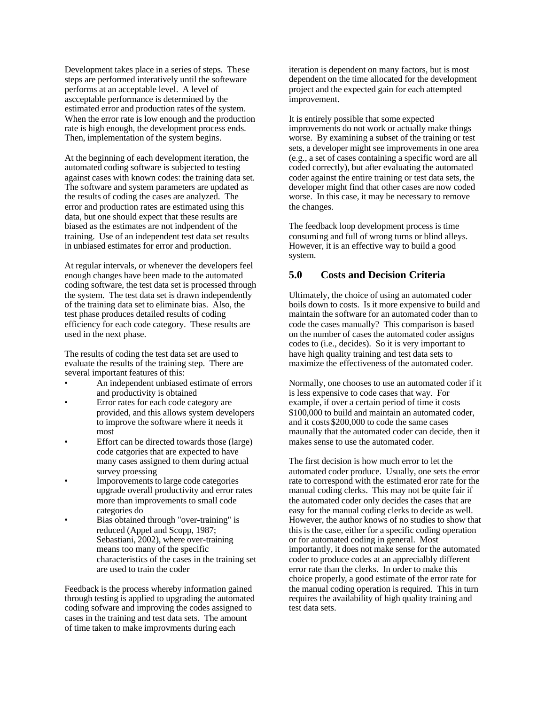Development takes place in a series of steps. These steps are performed interatively until the softeware performs at an acceptable level. A level of ascceptable performance is determined by the estimated error and production rates of the system. When the error rate is low enough and the production rate is high enough, the development process ends. Then, implementation of the system begins.

At the beginning of each development iteration, the automated coding software is subjected to testing against cases with known codes: the training data set. The software and system parameters are updated as the results of coding the cases are analyzed. The error and production rates are estimated using this data, but one should expect that these results are biased as the estimates are not indpendent of the training. Use of an independent test data set results in unbiased estimates for error and production.

At regular intervals, or whenever the developers feel enough changes have been made to the automated coding software, the test data set is processed through the system. The test data set is drawn independently of the training data set to eliminate bias. Also, the test phase produces detailed results of coding efficiency for each code category. These results are used in the next phase.

The results of coding the test data set are used to evaluate the results of the training step. There are several important features of this:

- An independent unbiased estimate of errors and productivity is obtained
- Error rates for each code category are provided, and this allows system developers to improve the software where it needs it most
- Effort can be directed towards those (large) code catgories that are expected to have many cases assigned to them during actual survey proessing
- Imporovements to large code categories upgrade overall productivity and error rates more than improvements to small code categories do
- Bias obtained through "over-training" is reduced (Appel and Scopp, 1987; Sebastiani, 2002), where over-training means too many of the specific characteristics of the cases in the training set are used to train the coder

Feedback is the process whereby information gained through testing is applied to upgrading the automated coding sofware and improving the codes assigned to cases in the training and test data sets. The amount of time taken to make improvments during each

iteration is dependent on many factors, but is most dependent on the time allocated for the development project and the expected gain for each attempted improvement.

It is entirely possible that some expected improvements do not work or actually make things worse. By examining a subset of the training or test sets, a developer might see improvements in one area (e.g., a set of cases containing a specific word are all coded correctly), but after evaluating the automated coder against the entire training or test data sets, the developer might find that other cases are now coded worse. In this case, it may be necessary to remove the changes.

The feedback loop development process is time consuming and full of wrong turns or blind alleys. However, it is an effective way to build a good system.

# **5.0 Costs and Decision Criteria**

Ultimately, the choice of using an automated coder boils down to costs. Is it more expensive to build and maintain the software for an automated coder than to code the cases manually? This comparison is based on the number of cases the automated coder assigns codes to (i.e., decides). So it is very important to have high quality training and test data sets to maximize the effectiveness of the automated coder.

Normally, one chooses to use an automated coder if it is less expensive to code cases that way. For example, if over a certain period of time it costs \$100,000 to build and maintain an automated coder. and it costs \$200,000 to code the same cases maunally that the automated coder can decide, then it makes sense to use the automated coder.

The first decision is how much error to let the automated coder produce. Usually, one sets the error rate to correspond with the estimated eror rate for the manual coding clerks. This may not be quite fair if the automated coder only decides the cases that are easy for the manual coding clerks to decide as well. However, the author knows of no studies to show that this is the case, either for a specific coding operation or for automated coding in general. Most importantly, it does not make sense for the automated coder to produce codes at an apprecialbly different error rate than the clerks. In order to make this choice properly, a good estimate of the error rate for the manual coding operation is required. This in turn requires the availability of high quality training and test data sets.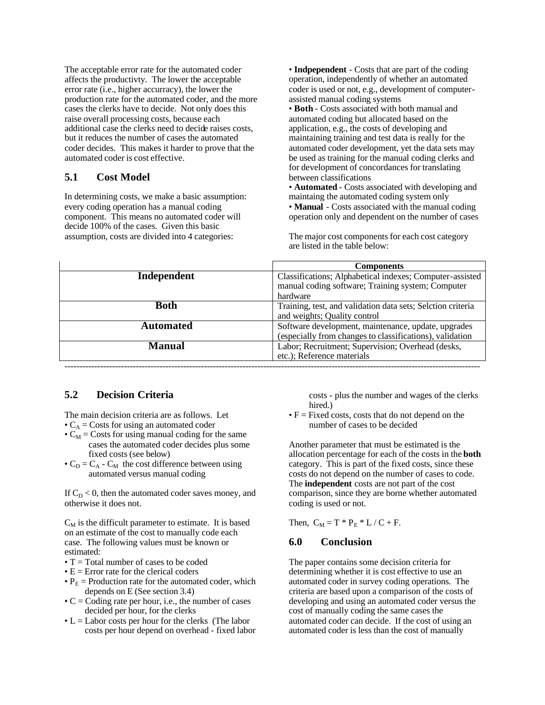The acceptable error rate for the automated coder affects the productivty. The lower the acceptable error rate (i.e., higher accurracy), the lower the production rate for the automated coder, and the more cases the clerks have to decide. Not only does this raise overall processing costs, because each additional case the clerks need to decide raises costs, but it reduces the number of cases the automated coder decides. This makes it harder to prove that the automated coder is cost effective.

#### **5.1 Cost Model**

In determining costs, we make a basic assumption: every coding operation has a manual coding component. This means no automated coder will decide 100% of the cases. Given this basic assumption, costs are divided into 4 categories:

• **Indpependent** - Costs that are part of the coding operation, independently of whether an automated coder is used or not, e.g., development of computerassisted manual coding systems

• **Both** - Costs associated with both manual and automated coding but allocated based on the application, e.g., the costs of developing and maintaining training and test data is really for the automated coder development, yet the data sets may be used as training for the manual coding clerks and for development of concordances for translating between classifications

• **Automated** - Costs associated with developing and maintaing the automated coding system only • **Manual** - Costs associated with the manual coding operation only and dependent on the number of cases

The major cost components for each cost category are listed in the table below:

|               | <b>Components</b>                                           |
|---------------|-------------------------------------------------------------|
| Independent   | Classifications; Alphabetical indexes; Computer-assisted    |
|               | manual coding software; Training system; Computer           |
|               | hardware                                                    |
| <b>Both</b>   | Training, test, and validation data sets; Selction criteria |
|               | and weights; Quality control                                |
| Automated     | Software development, maintenance, update, upgrades         |
|               | (especially from changes to classifications), validation    |
| <b>Manual</b> | Labor; Recruitment; Supervision; Overhead (desks,           |
|               | etc.); Reference materials                                  |
|               |                                                             |

# **5.2 Decision Criteria**

The main decision criteria are as follows. Let

- $\bullet$  C<sub>A</sub> = Costs for using an automated coder
- $C_M$  = Costs for using manual coding for the same cases the automated coder decides plus some fixed costs (see below)
- $C_D = C_A C_M$  the cost difference between using automated versus manual coding

If  $C_D < 0$ , then the automated coder saves money, and otherwise it does not.

 $C_M$  is the difficult parameter to estimate. It is based on an estimate of the cost to manually code each case. The following values must be known or estimated:

- $\bullet$  T = Total number of cases to be coded
- $\bullet$  E = Error rate for the clerical coders
- $P_E$  = Production rate for the automated coder, which depends on E (See section 3.4)
- $\bullet$  C = Coding rate per hour, i.e., the number of cases decided per hour, for the clerks
- $\bullet$  L = Labor costs per hour for the clerks (The labor costs per hour depend on overhead - fixed labor

costs - plus the number and wages of the clerks hired.)

 $\bullet$  F = Fixed costs, costs that do not depend on the number of cases to be decided

Another parameter that must be estimated is the allocation percentage for each of the costs in the **both** category. This is part of the fixed costs, since these costs do not depend on the number of cases to code. The **independent** costs are not part of the cost comparison, since they are borne whether automated coding is used or not.

Then,  $C_M = T * P_E * L / C + F$ .

#### **6.0 Conclusion**

The paper contains some decision criteria for determining whether it is cost effective to use an automated coder in survey coding operations. The criteria are based upon a comparison of the costs of developing and using an automated coder versus the cost of manually coding the same cases the automated coder can decide. If the cost of using an automated coder is less than the cost of manually